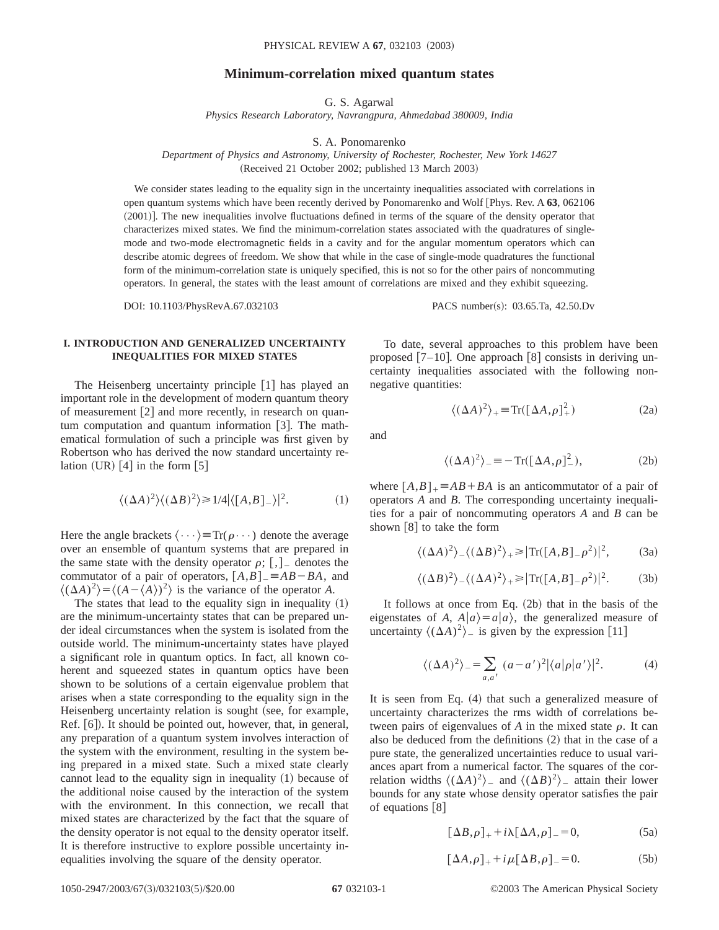### **Minimum-correlation mixed quantum states**

G. S. Agarwal

*Physics Research Laboratory, Navrangpura, Ahmedabad 380009, India*

S. A. Ponomarenko

*Department of Physics and Astronomy, University of Rochester, Rochester, New York 14627*

(Received 21 October 2002; published 13 March 2003)

We consider states leading to the equality sign in the uncertainty inequalities associated with correlations in open quantum systems which have been recently derived by Ponomarenko and Wolf @Phys. Rev. A **63**, 062106  $(2001)$ . The new inequalities involve fluctuations defined in terms of the square of the density operator that characterizes mixed states. We find the minimum-correlation states associated with the quadratures of singlemode and two-mode electromagnetic fields in a cavity and for the angular momentum operators which can describe atomic degrees of freedom. We show that while in the case of single-mode quadratures the functional form of the minimum-correlation state is uniquely specified, this is not so for the other pairs of noncommuting operators. In general, the states with the least amount of correlations are mixed and they exhibit squeezing.

DOI: 10.1103/PhysRevA.67.032103 PACS number(s): 03.65.Ta, 42.50.Dv

## **I. INTRODUCTION AND GENERALIZED UNCERTAINTY INEQUALITIES FOR MIXED STATES**

The Heisenberg uncertainty principle  $[1]$  has played an important role in the development of modern quantum theory of measurement  $[2]$  and more recently, in research on quantum computation and quantum information  $[3]$ . The mathematical formulation of such a principle was first given by Robertson who has derived the now standard uncertainty relation  $(UR)$  [4] in the form [5]

$$
\langle (\Delta A)^2 \rangle \langle (\Delta B)^2 \rangle \ge 1/4 |\langle [A, B]_- \rangle|^2. \tag{1}
$$

Here the angle brackets  $\langle \cdots \rangle = \text{Tr}(\rho \cdots)$  denote the average over an ensemble of quantum systems that are prepared in the same state with the density operator  $\rho$ ;  $[, ]_-$  denotes the commutator of a pair of operators,  $[A,B]_ = \equiv AB - BA$ , and  $\langle (\Delta A)^2 \rangle = \langle (A - \langle \overline{A} \rangle)^2 \rangle$  is the variance of the operator *A*.

The states that lead to the equality sign in inequality  $(1)$ are the minimum-uncertainty states that can be prepared under ideal circumstances when the system is isolated from the outside world. The minimum-uncertainty states have played a significant role in quantum optics. In fact, all known coherent and squeezed states in quantum optics have been shown to be solutions of a certain eigenvalue problem that arises when a state corresponding to the equality sign in the Heisenberg uncertainty relation is sought (see, for example, Ref.  $[6]$ ). It should be pointed out, however, that, in general, any preparation of a quantum system involves interaction of the system with the environment, resulting in the system being prepared in a mixed state. Such a mixed state clearly cannot lead to the equality sign in inequality  $(1)$  because of the additional noise caused by the interaction of the system with the environment. In this connection, we recall that mixed states are characterized by the fact that the square of the density operator is not equal to the density operator itself. It is therefore instructive to explore possible uncertainty inequalities involving the square of the density operator.

To date, several approaches to this problem have been proposed  $[7-10]$ . One approach  $[8]$  consists in deriving uncertainty inequalities associated with the following nonnegative quantities:

$$
\langle (\Delta A)^2 \rangle_+ \equiv \text{Tr}([\Delta A, \rho]_+^2) \tag{2a}
$$

and

$$
\langle (\Delta A)^2 \rangle_{-} \equiv -\operatorname{Tr}([\Delta A, \rho]_{-}^2),\tag{2b}
$$

where  $[A,B]_+$   $\equiv$   $AB + BA$  is an anticommutator of a pair of operators *A* and *B*. The corresponding uncertainty inequalities for a pair of noncommuting operators *A* and *B* can be shown  $\lceil 8 \rceil$  to take the form

$$
\langle (\Delta A)^2 \rangle_{-} \langle (\Delta B)^2 \rangle_{+} \ge |\text{Tr}([A, B]_{-} \rho^2)|^2, \tag{3a}
$$

$$
\langle (\Delta B)^2 \rangle_{-} \langle (\Delta A)^2 \rangle_{+} \ge |\text{Tr}([A, B]_{-} \rho^2)|^2. \tag{3b}
$$

It follows at once from Eq.  $(2b)$  that in the basis of the eigenstates of *A*,  $A|a\rangle = a|a\rangle$ , the generalized measure of uncertainty  $\langle (\Delta A)^2 \rangle$  is given by the expression [11]

$$
\langle (\Delta A)^2 \rangle_{-} = \sum_{a,a'} (a - a')^2 |\langle a| \rho |a' \rangle|^2. \tag{4}
$$

It is seen from Eq.  $(4)$  that such a generalized measure of uncertainty characterizes the rms width of correlations between pairs of eigenvalues of  $A$  in the mixed state  $\rho$ . It can also be deduced from the definitions  $(2)$  that in the case of a pure state, the generalized uncertainties reduce to usual variances apart from a numerical factor. The squares of the correlation widths  $\langle (\Delta A)^2 \rangle$  and  $\langle (\Delta B)^2 \rangle$  attain their lower bounds for any state whose density operator satisfies the pair of equations  $[8]$ 

$$
[\Delta B, \rho]_+ + i\lambda [\Delta A, \rho]_- = 0, \tag{5a}
$$

$$
[\Delta A, \rho]_+ + i \mu [\Delta B, \rho]_- = 0. \tag{5b}
$$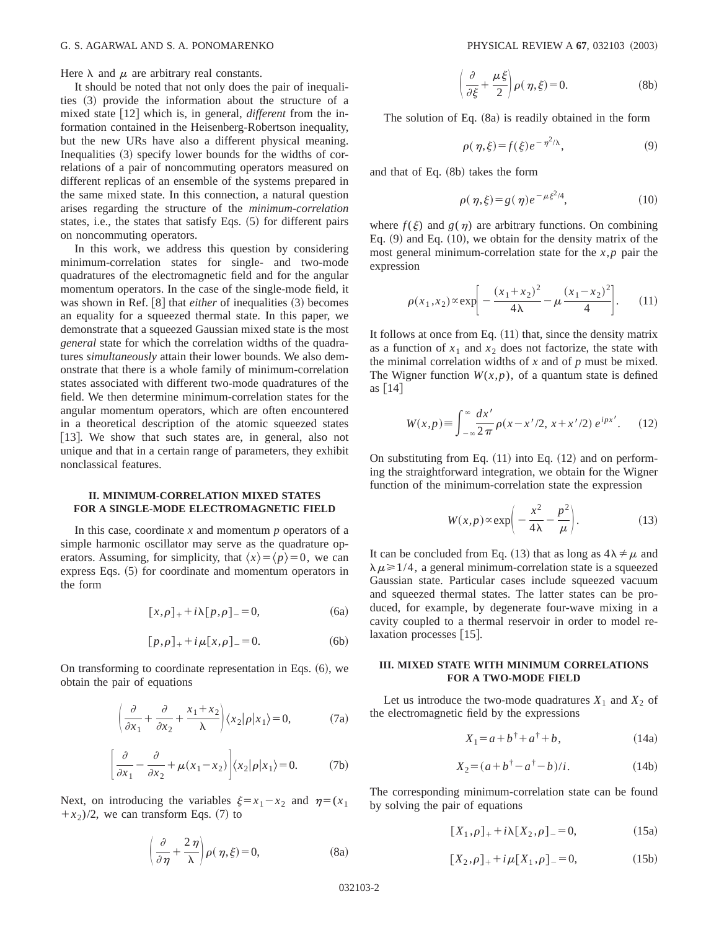Here  $\lambda$  and  $\mu$  are arbitrary real constants.

It should be noted that not only does the pair of inequalities  $(3)$  provide the information about the structure of a mixed state [12] which is, in general, *different* from the information contained in the Heisenberg-Robertson inequality, but the new URs have also a different physical meaning. Inequalities  $(3)$  specify lower bounds for the widths of correlations of a pair of noncommuting operators measured on different replicas of an ensemble of the systems prepared in the same mixed state. In this connection, a natural question arises regarding the structure of the *minimum-correlation* states, i.e., the states that satisfy Eqs.  $(5)$  for different pairs on noncommuting operators.

In this work, we address this question by considering minimum-correlation states for single- and two-mode quadratures of the electromagnetic field and for the angular momentum operators. In the case of the single-mode field, it was shown in Ref. [8] that *either* of inequalities (3) becomes an equality for a squeezed thermal state. In this paper, we demonstrate that a squeezed Gaussian mixed state is the most *general* state for which the correlation widths of the quadratures *simultaneously* attain their lower bounds. We also demonstrate that there is a whole family of minimum-correlation states associated with different two-mode quadratures of the field. We then determine minimum-correlation states for the angular momentum operators, which are often encountered in a theoretical description of the atomic squeezed states [13]. We show that such states are, in general, also not unique and that in a certain range of parameters, they exhibit nonclassical features.

#### **II. MINIMUM-CORRELATION MIXED STATES FOR A SINGLE-MODE ELECTROMAGNETIC FIELD**

In this case, coordinate *x* and momentum *p* operators of a simple harmonic oscillator may serve as the quadrature operators. Assuming, for simplicity, that  $\langle x \rangle = \langle p \rangle = 0$ , we can express Eqs.  $(5)$  for coordinate and momentum operators in the form

$$
[x,\rho]_+ + i\lambda[p,\rho]_- = 0,\tag{6a}
$$

$$
[p,\rho]_+ + i\mu[x,\rho]_- = 0.
$$
 (6b)

On transforming to coordinate representation in Eqs.  $(6)$ , we obtain the pair of equations

$$
\left(\frac{\partial}{\partial x_1} + \frac{\partial}{\partial x_2} + \frac{x_1 + x_2}{\lambda}\right) \langle x_2 | \rho | x_1 \rangle = 0, \tag{7a}
$$

$$
\left[\frac{\partial}{\partial x_1} - \frac{\partial}{\partial x_2} + \mu(x_1 - x_2)\right] \langle x_2 | \rho | x_1 \rangle = 0. \tag{7b}
$$

Next, on introducing the variables  $\xi = x_1 - x_2$  and  $\eta = (x_1)$  $+x<sub>2</sub>$ /2, we can transform Eqs. (7) to

$$
\left(\frac{\partial}{\partial \eta} + \frac{2\,\eta}{\lambda}\right)\rho(\,\eta,\xi) = 0,\tag{8a}
$$

$$
\left(\frac{\partial}{\partial \xi} + \frac{\mu \xi}{2}\right) \rho(\eta, \xi) = 0.
$$
 (8b)

The solution of Eq.  $(8a)$  is readily obtained in the form

$$
\rho(\eta,\xi) = f(\xi)e^{-\eta^2/\lambda},\tag{9}
$$

and that of Eq.  $(8b)$  takes the form

$$
\rho(\eta,\xi) = g(\eta)e^{-\mu\xi^2/4},\qquad(10)
$$

where  $f(\xi)$  and  $g(\eta)$  are arbitrary functions. On combining Eq.  $(9)$  and Eq.  $(10)$ , we obtain for the density matrix of the most general minimum-correlation state for the *x*,*p* pair the expression

$$
\rho(x_1, x_2) \propto \exp\bigg[-\frac{(x_1 + x_2)^2}{4\lambda} - \mu \frac{(x_1 - x_2)^2}{4}\bigg].
$$
 (11)

It follows at once from Eq.  $(11)$  that, since the density matrix as a function of  $x_1$  and  $x_2$  does not factorize, the state with the minimal correlation widths of *x* and of *p* must be mixed. The Wigner function  $W(x,p)$ , of a quantum state is defined as  $\lceil 14 \rceil$ 

$$
W(x,p) \equiv \int_{-\infty}^{\infty} \frac{dx'}{2\pi} \rho(x - x'/2, x + x'/2) e^{ipx'}.
$$
 (12)

On substituting from Eq.  $(11)$  into Eq.  $(12)$  and on performing the straightforward integration, we obtain for the Wigner function of the minimum-correlation state the expression

$$
W(x,p) \propto \exp\biggl(-\frac{x^2}{4\lambda} - \frac{p^2}{\mu}\biggr). \tag{13}
$$

It can be concluded from Eq. (13) that as long as  $4\lambda \neq \mu$  and  $\lambda \mu \ge 1/4$ , a general minimum-correlation state is a squeezed Gaussian state. Particular cases include squeezed vacuum and squeezed thermal states. The latter states can be produced, for example, by degenerate four-wave mixing in a cavity coupled to a thermal reservoir in order to model relaxation processes  $[15]$ .

### **III. MIXED STATE WITH MINIMUM CORRELATIONS FOR A TWO-MODE FIELD**

Let us introduce the two-mode quadratures  $X_1$  and  $X_2$  of the electromagnetic field by the expressions

$$
X_1 = a + b^{\dagger} + a^{\dagger} + b,\tag{14a}
$$

$$
X_2 = (a + b^\dagger - a^\dagger - b)/i. \tag{14b}
$$

The corresponding minimum-correlation state can be found by solving the pair of equations

$$
[X_1, \rho]_+ + i\lambda [X_2, \rho]_- = 0, \tag{15a}
$$

$$
[X_2,\rho]_+ + i\mu[X_1,\rho]_- = 0,\t(15b)
$$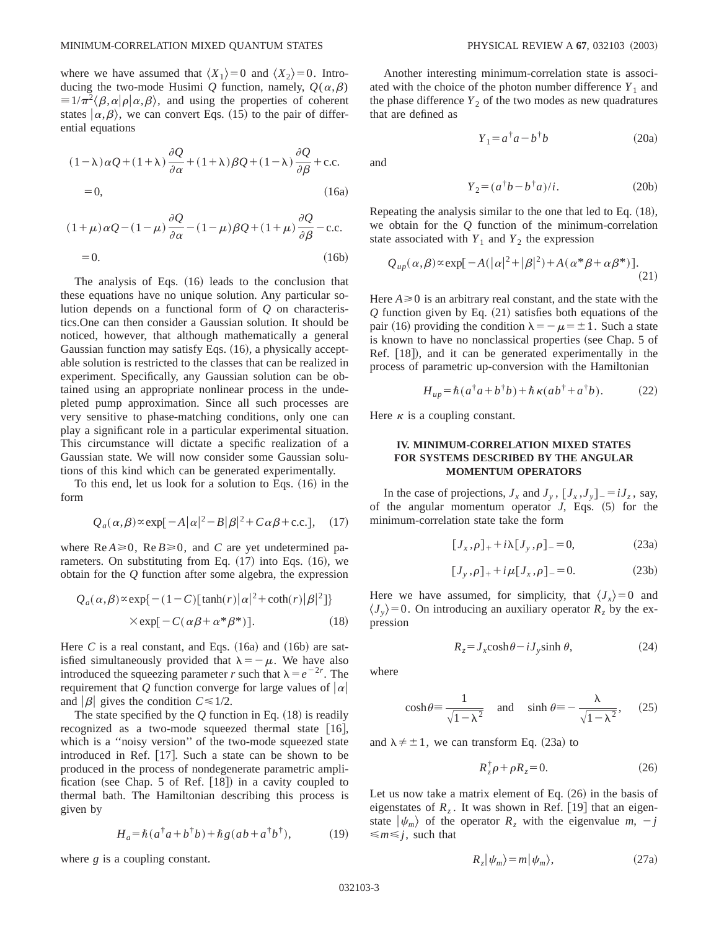where we have assumed that  $\langle X_1 \rangle = 0$  and  $\langle X_2 \rangle = 0$ . Introducing the two-mode Husimi *Q* function, namely,  $Q(\alpha, \beta)$  $\equiv 1/\pi^2 \langle \beta, \alpha | \rho | \alpha, \beta \rangle$ , and using the properties of coherent states  $|\alpha,\beta\rangle$ , we can convert Eqs. (15) to the pair of differential equations

$$
(1 - \lambda)\alpha Q + (1 + \lambda)\frac{\partial Q}{\partial \alpha} + (1 + \lambda)\beta Q + (1 - \lambda)\frac{\partial Q}{\partial \beta} + \text{c.c.}
$$
  
= 0, (16a)

$$
(1+\mu)\alpha Q - (1-\mu)\frac{\partial Q}{\partial \alpha} - (1-\mu)\beta Q + (1+\mu)\frac{\partial Q}{\partial \beta} - \text{c.c.}
$$
  
= 0. (16b)

The analysis of Eqs.  $(16)$  leads to the conclusion that these equations have no unique solution. Any particular solution depends on a functional form of *Q* on characteristics.One can then consider a Gaussian solution. It should be noticed, however, that although mathematically a general Gaussian function may satisfy Eqs.  $(16)$ , a physically acceptable solution is restricted to the classes that can be realized in experiment. Specifically, any Gaussian solution can be obtained using an appropriate nonlinear process in the undepleted pump approximation. Since all such processes are very sensitive to phase-matching conditions, only one can play a significant role in a particular experimental situation. This circumstance will dictate a specific realization of a Gaussian state. We will now consider some Gaussian solutions of this kind which can be generated experimentally.

To this end, let us look for a solution to Eqs.  $(16)$  in the form

$$
Q_a(\alpha, \beta) \propto \exp[-A|\alpha|^2 - B|\beta|^2 + C\alpha\beta + \text{c.c.}], \quad (17)
$$

where  $Re A \ge 0$ ,  $Re B \ge 0$ , and *C* are yet undetermined parameters. On substituting from Eq.  $(17)$  into Eqs.  $(16)$ , we obtain for the *Q* function after some algebra, the expression

$$
Q_a(\alpha, \beta) \propto \exp\{-(1-C)[\tanh(r)|\alpha|^2 + \coth(r)|\beta|^2]\}
$$
  
× $\exp[-C(\alpha\beta + \alpha^*\beta^*)].$  (18)

Here *C* is a real constant, and Eqs.  $(16a)$  and  $(16b)$  are satisfied simultaneously provided that  $\lambda = -\mu$ . We have also introduced the squeezing parameter *r* such that  $\lambda = e^{-2r}$ . The requirement that *Q* function converge for large values of  $|\alpha|$ and  $|\beta|$  gives the condition  $C \leq 1/2$ .

The state specified by the  $Q$  function in Eq.  $(18)$  is readily recognized as a two-mode squeezed thermal state  $[16]$ , which is a ''noisy version'' of the two-mode squeezed state introduced in Ref.  $[17]$ . Such a state can be shown to be produced in the process of nondegenerate parametric amplification (see Chap. 5 of Ref.  $[18]$ ) in a cavity coupled to thermal bath. The Hamiltonian describing this process is given by

$$
H_a = \hbar (a^\dagger a + b^\dagger b) + \hbar g (ab + a^\dagger b^\dagger), \tag{19}
$$

where *g* is a coupling constant.

Another interesting minimum-correlation state is associated with the choice of the photon number difference  $Y_1$  and the phase difference  $Y_2$  of the two modes as new quadratures that are defined as

$$
Y_1 = a^{\dagger} a - b^{\dagger} b \tag{20a}
$$

and

$$
Y_2 = (a^\dagger b - b^\dagger a)/i. \tag{20b}
$$

Repeating the analysis similar to the one that led to Eq.  $(18)$ , we obtain for the *Q* function of the minimum-correlation state associated with  $Y_1$  and  $Y_2$  the expression

$$
Q_{up}(\alpha,\beta) \propto \exp[-A(|\alpha|^2 + |\beta|^2) + A(\alpha^* \beta + \alpha \beta^*)].
$$
\n(21)

Here  $A \ge 0$  is an arbitrary real constant, and the state with the  $Q$  function given by Eq.  $(21)$  satisfies both equations of the pair (16) providing the condition  $\lambda = -\mu = \pm 1$ . Such a state is known to have no nonclassical properties (see Chap. 5 of Ref. [18]), and it can be generated experimentally in the process of parametric up-conversion with the Hamiltonian

$$
H_{up} = \hbar (a^{\dagger} a + b^{\dagger} b) + \hbar \kappa (a b^{\dagger} + a^{\dagger} b). \tag{22}
$$

Here  $\kappa$  is a coupling constant.

# **IV. MINIMUM-CORRELATION MIXED STATES FOR SYSTEMS DESCRIBED BY THE ANGULAR MOMENTUM OPERATORS**

In the case of projections,  $J_x$  and  $J_y$ ,  $[J_x, J_y]_ = iJ_z$ , say, of the angular momentum operator  $J$ , Eqs.  $(5)$  for the minimum-correlation state take the form

$$
[J_x, \rho]_+ + i\lambda [J_y, \rho]_- = 0, \tag{23a}
$$

$$
[J_{y}, \rho]_{+} + i\mu [J_{x}, \rho]_{-} = 0.
$$
 (23b)

Here we have assumed, for simplicity, that  $\langle J_x \rangle = 0$  and  $\langle J_v \rangle$ =0. On introducing an auxiliary operator *R<sub>z</sub>* by the expression

$$
R_z = J_x \cosh \theta - iJ_y \sinh \theta, \qquad (24)
$$

where

$$
\cosh \theta \equiv \frac{1}{\sqrt{1 - \lambda^2}} \quad \text{and} \quad \sinh \theta \equiv -\frac{\lambda}{\sqrt{1 - \lambda^2}}, \quad (25)
$$

and  $\lambda \neq \pm 1$ , we can transform Eq. (23a) to

$$
R_z^{\dagger} \rho + \rho R_z = 0. \tag{26}
$$

Let us now take a matrix element of Eq.  $(26)$  in the basis of eigenstates of  $R_z$ . It was shown in Ref. [19] that an eigenstate  $|\psi_m\rangle$  of the operator  $R_z$  with the eigenvalue  $m, -j$  $\leq m \leq j$ , such that

$$
R_z|\psi_m\rangle = m|\psi_m\rangle,\tag{27a}
$$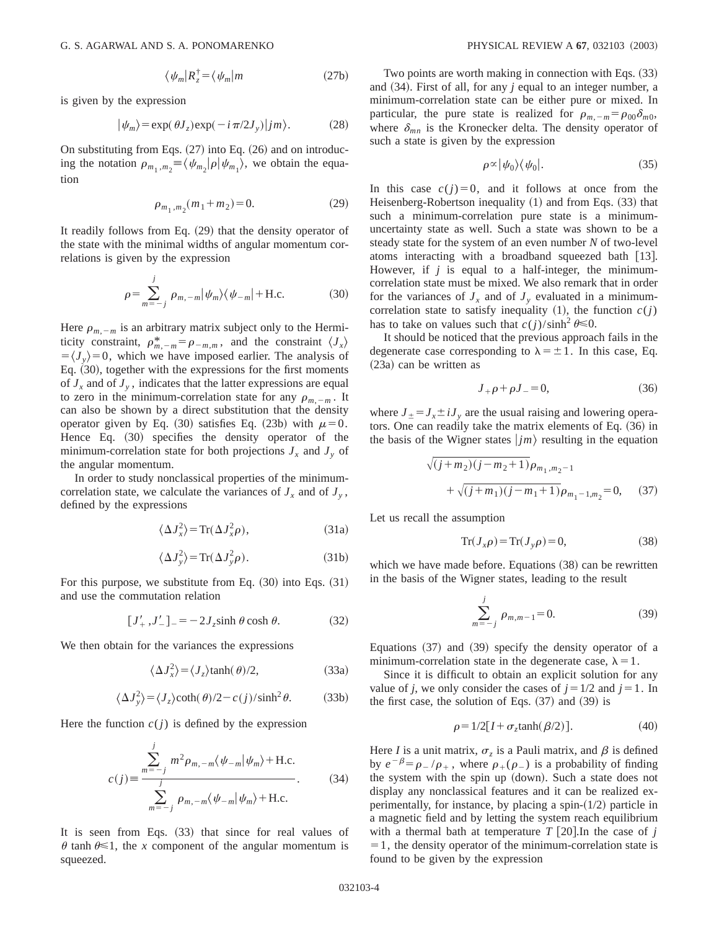$$
\langle \psi_m | R_z^{\dagger} = \langle \psi_m | m \tag{27b}
$$

is given by the expression

$$
|\psi_m\rangle = \exp(\theta J_z) \exp(-i\pi/2J_y)|jm\rangle. \tag{28}
$$

On substituting from Eqs.  $(27)$  into Eq.  $(26)$  and on introducing the notation  $\rho_{m_1, m_2} \equiv \langle \psi_{m_2} | \rho | \psi_{m_1} \rangle$ , we obtain the equation

$$
\rho_{m_1, m_2}(m_1 + m_2) = 0. \tag{29}
$$

It readily follows from Eq.  $(29)$  that the density operator of the state with the minimal widths of angular momentum correlations is given by the expression

$$
\rho = \sum_{m=-j}^{j} \rho_{m,-m} |\psi_m\rangle \langle \psi_{-m}| + \text{H.c.}
$$
 (30)

Here  $\rho_{m,-m}$  is an arbitrary matrix subject only to the Hermiticity constraint,  $\rho_{m,-m}^* = \rho_{-m,m}$ , and the constraint  $\langle J_x \rangle$  $\langle J_v \rangle = 0$ , which we have imposed earlier. The analysis of Eq.  $(30)$ , together with the expressions for the first moments of  $J_x$  and of  $J_y$ , indicates that the latter expressions are equal to zero in the minimum-correlation state for any  $\rho_{m,-m}$ . It can also be shown by a direct substitution that the density operator given by Eq. (30) satisfies Eq. (23b) with  $\mu=0$ . Hence Eq. (30) specifies the density operator of the minimum-correlation state for both projections  $J_x$  and  $J_y$  of the angular momentum.

In order to study nonclassical properties of the minimumcorrelation state, we calculate the variances of  $J_x$  and of  $J_y$ , defined by the expressions

$$
\langle \Delta J_x^2 \rangle = \text{Tr}(\Delta J_x^2 \rho), \tag{31a}
$$

$$
\langle \Delta J_y^2 \rangle = \text{Tr}(\Delta J_y^2 \rho). \tag{31b}
$$

For this purpose, we substitute from Eq.  $(30)$  into Eqs.  $(31)$ and use the commutation relation

$$
[J'_{+}, J'_{-}]_{-} = -2J_{z}\sinh\theta\cosh\theta.
$$
 (32)

We then obtain for the variances the expressions

$$
\langle \Delta J_x^2 \rangle = \langle J_z \rangle \tanh(\theta)/2, \tag{33a}
$$

$$
\langle \Delta J_y^2 \rangle = \langle J_z \rangle \coth(\theta)/2 - c(j)/\sinh^2 \theta. \tag{33b}
$$

Here the function  $c(j)$  is defined by the expression

$$
c(j) \equiv \frac{\sum_{m=-j}^{j} m^2 \rho_{m,-m} \langle \psi_{-m} | \psi_m \rangle + \text{H.c.}}{\sum_{m=-j}^{j} \rho_{m,-m} \langle \psi_{-m} | \psi_m \rangle + \text{H.c.}}.
$$
 (34)

It is seen from Eqs.  $(33)$  that since for real values of  $\theta$  tanh  $\theta \leq 1$ , the *x* component of the angular momentum is squeezed.

Two points are worth making in connection with Eqs.  $(33)$ and  $(34)$ . First of all, for any *j* equal to an integer number, a minimum-correlation state can be either pure or mixed. In particular, the pure state is realized for  $\rho_{m,-m} = \rho_{00}\delta_{m0}$ , where  $\delta_{mn}$  is the Kronecker delta. The density operator of such a state is given by the expression

$$
\rho \propto |\psi_0\rangle \langle \psi_0|.\tag{35}
$$

In this case  $c(j)=0$ , and it follows at once from the Heisenberg-Robertson inequality  $(1)$  and from Eqs.  $(33)$  that such a minimum-correlation pure state is a minimumuncertainty state as well. Such a state was shown to be a steady state for the system of an even number *N* of two-level atoms interacting with a broadband squeezed bath  $[13]$ . However, if *j* is equal to a half-integer, the minimumcorrelation state must be mixed. We also remark that in order for the variances of  $J_x$  and of  $J_y$  evaluated in a minimumcorrelation state to satisfy inequality  $(1)$ , the function  $c(j)$ has to take on values such that  $c(j)/\sinh^2 \theta \le 0$ .

It should be noticed that the previous approach fails in the degenerate case corresponding to  $\lambda = \pm 1$ . In this case, Eq.  $(23a)$  can be written as

$$
J_{+}\rho + \rho J_{-} = 0, \tag{36}
$$

where  $J_{\pm} = J_x \pm iJ_y$  are the usual raising and lowering operators. One can readily take the matrix elements of Eq.  $(36)$  in the basis of the Wigner states  $\vert jm \rangle$  resulting in the equation

$$
\sqrt{(j+m_2)(j-m_2+1)}\rho_{m_1,m_2-1} + \sqrt{(j+m_1)(j-m_1+1)}\rho_{m_1-1,m_2} = 0, \quad (37)
$$

Let us recall the assumption

$$
Tr(J_x \rho) = Tr(J_y \rho) = 0,
$$
\n(38)

which we have made before. Equations  $(38)$  can be rewritten in the basis of the Wigner states, leading to the result

$$
\sum_{m=-j}^{j} \rho_{m,m-1} = 0.
$$
 (39)

Equations  $(37)$  and  $(39)$  specify the density operator of a minimum-correlation state in the degenerate case,  $\lambda = 1$ .

Since it is difficult to obtain an explicit solution for any value of *j*, we only consider the cases of  $j = 1/2$  and  $j = 1$ . In the first case, the solution of Eqs.  $(37)$  and  $(39)$  is

$$
\rho = 1/2[I + \sigma_z \tanh(\beta/2)].\tag{40}
$$

Here *I* is a unit matrix,  $\sigma_z$  is a Pauli matrix, and  $\beta$  is defined by  $e^{-\beta} = \rho_- / \rho_+$ , where  $\rho_+ (\rho_-)$  is a probability of finding the system with the spin up (down). Such a state does not display any nonclassical features and it can be realized experimentally, for instance, by placing a spin- $(1/2)$  particle in a magnetic field and by letting the system reach equilibrium with a thermal bath at temperature  $T$  [20]. In the case of *j*  $=1$ , the density operator of the minimum-correlation state is found to be given by the expression